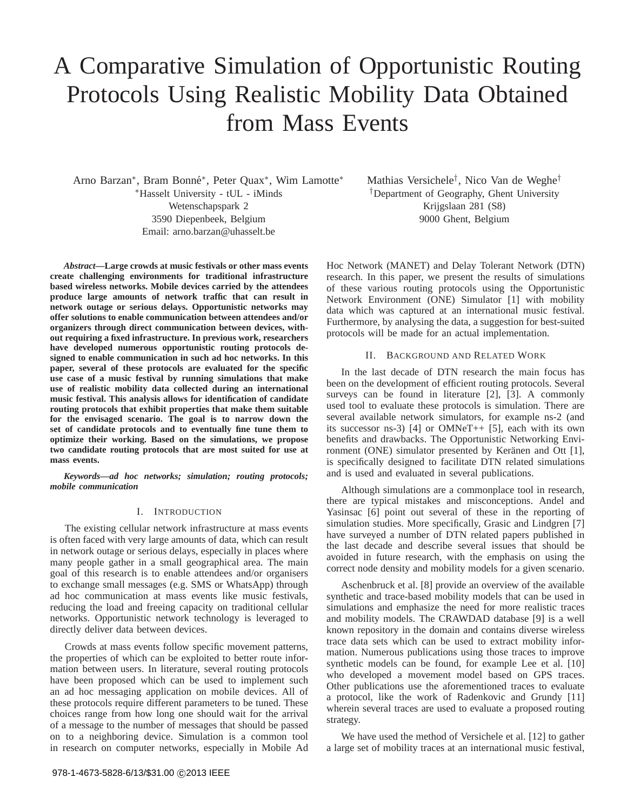# A Comparative Simulation of Opportunistic Routing Protocols Using Realistic Mobility Data Obtained from Mass Events

Arno Barzan\*, Bram Bonné\*, Peter Quax<sup>\*</sup>, Wim Lamotte\* <sup>∗</sup>Hasselt University - tUL - iMinds Wetenschapspark 2 3590 Diepenbeek, Belgium Email: arno.barzan@uhasselt.be

*Abstract***—Large crowds at music festivals or other mass events create challenging environments for traditional infrastructure based wireless networks. Mobile devices carried by the attendees produce large amounts of network traffic that can result in network outage or serious delays. Opportunistic networks may offer solutions to enable communication between attendees and/or organizers through direct communication between devices, without requiring a fixed infrastructure. In previous work, researchers have developed numerous opportunistic routing protocols designed to enable communication in such ad hoc networks. In this paper, several of these protocols are evaluated for the specific use case of a music festival by running simulations that make use of realistic mobility data collected during an international music festival. This analysis allows for identification of candidate routing protocols that exhibit properties that make them suitable for the envisaged scenario. The goal is to narrow down the set of candidate protocols and to eventually fine tune them to optimize their working. Based on the simulations, we propose two candidate routing protocols that are most suited for use at mass events.**

*Keywords***—***ad hoc networks; simulation; routing protocols; mobile communication*

## I. INTRODUCTION

The existing cellular network infrastructure at mass events is often faced with very large amounts of data, which can result in network outage or serious delays, especially in places where many people gather in a small geographical area. The main goal of this research is to enable attendees and/or organisers to exchange small messages (e.g. SMS or WhatsApp) through ad hoc communication at mass events like music festivals, reducing the load and freeing capacity on traditional cellular networks. Opportunistic network technology is leveraged to directly deliver data between devices.

Crowds at mass events follow specific movement patterns, the properties of which can be exploited to better route information between users. In literature, several routing protocols have been proposed which can be used to implement such an ad hoc messaging application on mobile devices. All of these protocols require different parameters to be tuned. These choices range from how long one should wait for the arrival of a message to the number of messages that should be passed on to a neighboring device. Simulation is a common tool in research on computer networks, especially in Mobile Ad Mathias Versichele† , Nico Van de Weghe† †Department of Geography, Ghent University Krijgslaan 281 (S8) 9000 Ghent, Belgium

Hoc Network (MANET) and Delay Tolerant Network (DTN) research. In this paper, we present the results of simulations of these various routing protocols using the Opportunistic Network Environment (ONE) Simulator [1] with mobility data which was captured at an international music festival. Furthermore, by analysing the data, a suggestion for best-suited protocols will be made for an actual implementation.

## II. BACKGROUND AND RELATED WORK

In the last decade of DTN research the main focus has been on the development of efficient routing protocols. Several surveys can be found in literature [2], [3]. A commonly used tool to evaluate these protocols is simulation. There are several available network simulators, for example ns-2 (and its successor ns-3) [4] or OMNeT++ [5], each with its own benefits and drawbacks. The Opportunistic Networking Environment (ONE) simulator presented by Keränen and Ott [1], is specifically designed to facilitate DTN related simulations and is used and evaluated in several publications.

Although simulations are a commonplace tool in research, there are typical mistakes and misconceptions. Andel and Yasinsac [6] point out several of these in the reporting of simulation studies. More specifically, Grasic and Lindgren [7] have surveyed a number of DTN related papers published in the last decade and describe several issues that should be avoided in future research, with the emphasis on using the correct node density and mobility models for a given scenario.

Aschenbruck et al. [8] provide an overview of the available synthetic and trace-based mobility models that can be used in simulations and emphasize the need for more realistic traces and mobility models. The CRAWDAD database [9] is a well known repository in the domain and contains diverse wireless trace data sets which can be used to extract mobility information. Numerous publications using those traces to improve synthetic models can be found, for example Lee et al. [10] who developed a movement model based on GPS traces. Other publications use the aforementioned traces to evaluate a protocol, like the work of Radenkovic and Grundy [11] wherein several traces are used to evaluate a proposed routing strategy.

We have used the method of Versichele et al. [12] to gather a large set of mobility traces at an international music festival,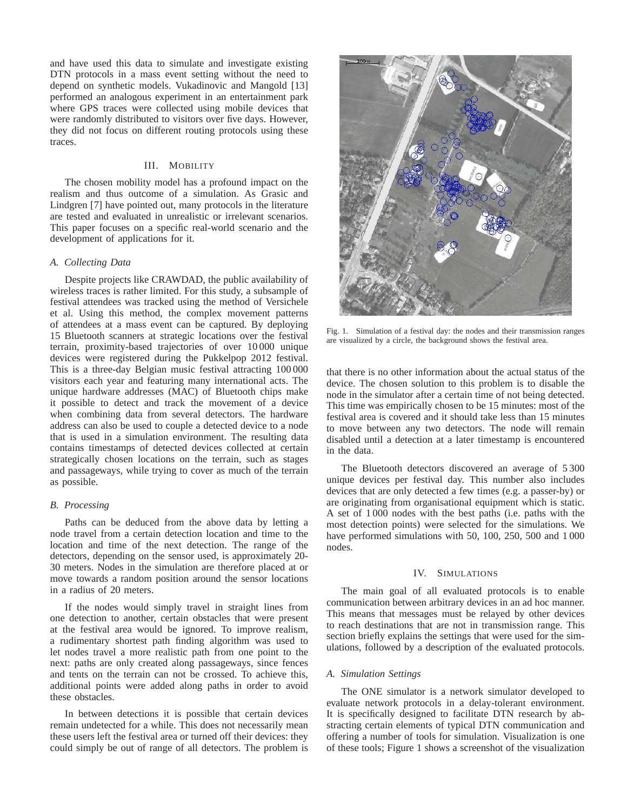and have used this data to simulate and investigate existing DTN protocols in a mass event setting without the need to depend on synthetic models. Vukadinovic and Mangold [13] performed an analogous experiment in an entertainment park where GPS traces were collected using mobile devices that were randomly distributed to visitors over five days. However, they did not focus on different routing protocols using these traces.

#### III. MOBILITY

The chosen mobility model has a profound impact on the realism and thus outcome of a simulation. As Grasic and Lindgren [7] have pointed out, many protocols in the literature are tested and evaluated in unrealistic or irrelevant scenarios. This paper focuses on a specific real-world scenario and the development of applications for it.

#### *A. Collecting Data*

Despite projects like CRAWDAD, the public availability of wireless traces is rather limited. For this study, a subsample of festival attendees was tracked using the method of Versichele et al. Using this method, the complex movement patterns of attendees at a mass event can be captured. By deploying 15 Bluetooth scanners at strategic locations over the festival terrain, proximity-based trajectories of over 10 000 unique devices were registered during the Pukkelpop 2012 festival. This is a three-day Belgian music festival attracting 100 000 visitors each year and featuring many international acts. The unique hardware addresses (MAC) of Bluetooth chips make it possible to detect and track the movement of a device when combining data from several detectors. The hardware address can also be used to couple a detected device to a node that is used in a simulation environment. The resulting data contains timestamps of detected devices collected at certain strategically chosen locations on the terrain, such as stages and passageways, while trying to cover as much of the terrain as possible.

## *B. Processing*

Paths can be deduced from the above data by letting a node travel from a certain detection location and time to the location and time of the next detection. The range of the detectors, depending on the sensor used, is approximately 20- 30 meters. Nodes in the simulation are therefore placed at or move towards a random position around the sensor locations in a radius of 20 meters.

If the nodes would simply travel in straight lines from one detection to another, certain obstacles that were present at the festival area would be ignored. To improve realism, a rudimentary shortest path finding algorithm was used to let nodes travel a more realistic path from one point to the next: paths are only created along passageways, since fences and tents on the terrain can not be crossed. To achieve this, additional points were added along paths in order to avoid these obstacles.

In between detections it is possible that certain devices remain undetected for a while. This does not necessarily mean these users left the festival area or turned off their devices: they could simply be out of range of all detectors. The problem is



Fig. 1. Simulation of a festival day: the nodes and their transmission ranges are visualized by a circle, the background shows the festival area.

that there is no other information about the actual status of the device. The chosen solution to this problem is to disable the node in the simulator after a certain time of not being detected. This time was empirically chosen to be 15 minutes: most of the festival area is covered and it should take less than 15 minutes to move between any two detectors. The node will remain disabled until a detection at a later timestamp is encountered in the data.

The Bluetooth detectors discovered an average of 5 300 unique devices per festival day. This number also includes devices that are only detected a few times (e.g. a passer-by) or are originating from organisational equipment which is static. A set of 1 000 nodes with the best paths (i.e. paths with the most detection points) were selected for the simulations. We have performed simulations with 50, 100, 250, 500 and 1000 nodes.

## IV. SIMULATIONS

The main goal of all evaluated protocols is to enable communication between arbitrary devices in an ad hoc manner. This means that messages must be relayed by other devices to reach destinations that are not in transmission range. This section briefly explains the settings that were used for the simulations, followed by a description of the evaluated protocols.

#### *A. Simulation Settings*

The ONE simulator is a network simulator developed to evaluate network protocols in a delay-tolerant environment. It is specifically designed to facilitate DTN research by abstracting certain elements of typical DTN communication and offering a number of tools for simulation. Visualization is one of these tools; Figure 1 shows a screenshot of the visualization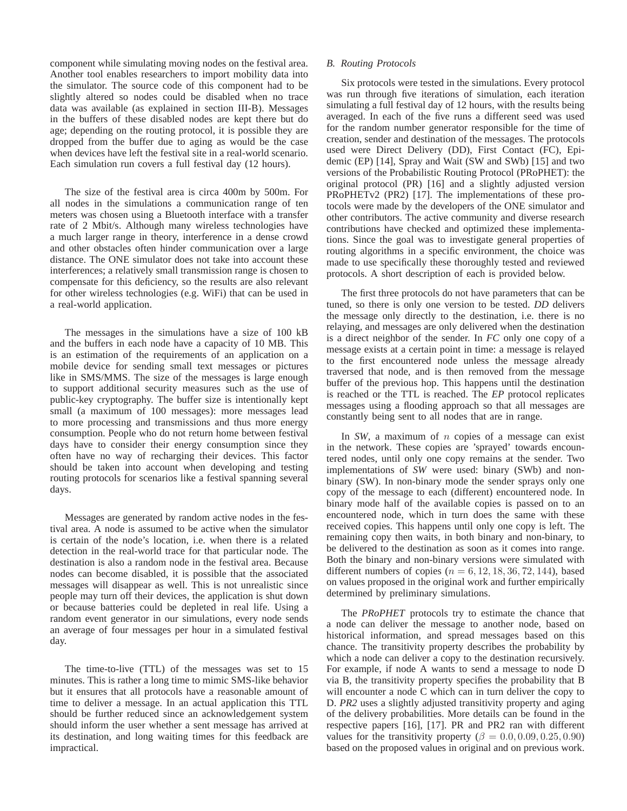component while simulating moving nodes on the festival area. Another tool enables researchers to import mobility data into the simulator. The source code of this component had to be slightly altered so nodes could be disabled when no trace data was available (as explained in section III-B). Messages in the buffers of these disabled nodes are kept there but do age; depending on the routing protocol, it is possible they are dropped from the buffer due to aging as would be the case when devices have left the festival site in a real-world scenario. Each simulation run covers a full festival day (12 hours).

The size of the festival area is circa 400m by 500m. For all nodes in the simulations a communication range of ten meters was chosen using a Bluetooth interface with a transfer rate of 2 Mbit/s. Although many wireless technologies have a much larger range in theory, interference in a dense crowd and other obstacles often hinder communication over a large distance. The ONE simulator does not take into account these interferences; a relatively small transmission range is chosen to compensate for this deficiency, so the results are also relevant for other wireless technologies (e.g. WiFi) that can be used in a real-world application.

The messages in the simulations have a size of 100 kB and the buffers in each node have a capacity of 10 MB. This is an estimation of the requirements of an application on a mobile device for sending small text messages or pictures like in SMS/MMS. The size of the messages is large enough to support additional security measures such as the use of public-key cryptography. The buffer size is intentionally kept small (a maximum of 100 messages): more messages lead to more processing and transmissions and thus more energy consumption. People who do not return home between festival days have to consider their energy consumption since they often have no way of recharging their devices. This factor should be taken into account when developing and testing routing protocols for scenarios like a festival spanning several days.

Messages are generated by random active nodes in the festival area. A node is assumed to be active when the simulator is certain of the node's location, i.e. when there is a related detection in the real-world trace for that particular node. The destination is also a random node in the festival area. Because nodes can become disabled, it is possible that the associated messages will disappear as well. This is not unrealistic since people may turn off their devices, the application is shut down or because batteries could be depleted in real life. Using a random event generator in our simulations, every node sends an average of four messages per hour in a simulated festival day.

The time-to-live (TTL) of the messages was set to 15 minutes. This is rather a long time to mimic SMS-like behavior but it ensures that all protocols have a reasonable amount of time to deliver a message. In an actual application this TTL should be further reduced since an acknowledgement system should inform the user whether a sent message has arrived at its destination, and long waiting times for this feedback are impractical.

## *B. Routing Protocols*

Six protocols were tested in the simulations. Every protocol was run through five iterations of simulation, each iteration simulating a full festival day of 12 hours, with the results being averaged. In each of the five runs a different seed was used for the random number generator responsible for the time of creation, sender and destination of the messages. The protocols used were Direct Delivery (DD), First Contact (FC), Epidemic (EP) [14], Spray and Wait (SW and SWb) [15] and two versions of the Probabilistic Routing Protocol (PRoPHET): the original protocol (PR) [16] and a slightly adjusted version PRoPHETv2 (PR2) [17]. The implementations of these protocols were made by the developers of the ONE simulator and other contributors. The active community and diverse research contributions have checked and optimized these implementations. Since the goal was to investigate general properties of routing algorithms in a specific environment, the choice was made to use specifically these thoroughly tested and reviewed protocols. A short description of each is provided below.

The first three protocols do not have parameters that can be tuned, so there is only one version to be tested. *DD* delivers the message only directly to the destination, i.e. there is no relaying, and messages are only delivered when the destination is a direct neighbor of the sender. In *FC* only one copy of a message exists at a certain point in time: a message is relayed to the first encountered node unless the message already traversed that node, and is then removed from the message buffer of the previous hop. This happens until the destination is reached or the TTL is reached. The *EP* protocol replicates messages using a flooding approach so that all messages are constantly being sent to all nodes that are in range.

In *SW*, a maximum of *n* copies of a message can exist in the network. These copies are 'sprayed' towards encountered nodes, until only one copy remains at the sender. Two implementations of *SW* were used: binary (SWb) and nonbinary (SW). In non-binary mode the sender sprays only one copy of the message to each (different) encountered node. In binary mode half of the available copies is passed on to an encountered node, which in turn does the same with these received copies. This happens until only one copy is left. The remaining copy then waits, in both binary and non-binary, to be delivered to the destination as soon as it comes into range. Both the binary and non-binary versions were simulated with different numbers of copies ( $n = 6, 12, 18, 36, 72, 144$ ), based on values proposed in the original work and further empirically determined by preliminary simulations.

The *PRoPHET* protocols try to estimate the chance that a node can deliver the message to another node, based on historical information, and spread messages based on this chance. The transitivity property describes the probability by which a node can deliver a copy to the destination recursively. For example, if node A wants to send a message to node D via B, the transitivity property specifies the probability that B will encounter a node C which can in turn deliver the copy to D. *PR2* uses a slightly adjusted transitivity property and aging of the delivery probabilities. More details can be found in the respective papers [16], [17]. PR and PR2 ran with different values for the transitivity property ( $\beta = 0.0, 0.09, 0.25, 0.90$ ) based on the proposed values in original and on previous work.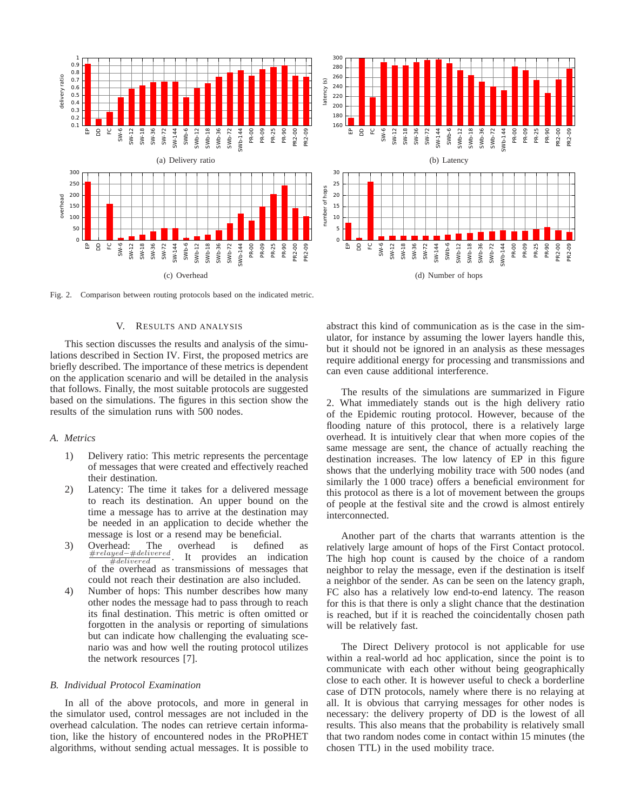

Fig. 2. Comparison between routing protocols based on the indicated metric.

## V. RESULTS AND ANALYSIS

This section discusses the results and analysis of the simulations described in Section IV. First, the proposed metrics are briefly described. The importance of these metrics is dependent on the application scenario and will be detailed in the analysis that follows. Finally, the most suitable protocols are suggested based on the simulations. The figures in this section show the results of the simulation runs with 500 nodes.

#### *A. Metrics*

- 1) Delivery ratio: This metric represents the percentage of messages that were created and effectively reached their destination.
- 2) Latency: The time it takes for a delivered message to reach its destination. An upper bound on the time a message has to arrive at the destination may be needed in an application to decide whether the message is lost or a resend may be beneficial.
- 3) Overhead: The overhead is defined as<br>  $\frac{\#relayed #delivered}{\#delivered}$ . It provides an indication  $\frac{4}{\text{delivered}}$ . It provides an indication of the overhead as transmissions of messages that could not reach their destination are also included.
- 4) Number of hops: This number describes how many other nodes the message had to pass through to reach its final destination. This metric is often omitted or forgotten in the analysis or reporting of simulations but can indicate how challenging the evaluating scenario was and how well the routing protocol utilizes the network resources [7].

#### *B. Individual Protocol Examination*

In all of the above protocols, and more in general in the simulator used, control messages are not included in the overhead calculation. The nodes can retrieve certain information, like the history of encountered nodes in the PRoPHET algorithms, without sending actual messages. It is possible to abstract this kind of communication as is the case in the simulator, for instance by assuming the lower layers handle this, but it should not be ignored in an analysis as these messages require additional energy for processing and transmissions and can even cause additional interference.

The results of the simulations are summarized in Figure 2. What immediately stands out is the high delivery ratio of the Epidemic routing protocol. However, because of the flooding nature of this protocol, there is a relatively large overhead. It is intuitively clear that when more copies of the same message are sent, the chance of actually reaching the destination increases. The low latency of EP in this figure shows that the underlying mobility trace with 500 nodes (and similarly the 1 000 trace) offers a beneficial environment for this protocol as there is a lot of movement between the groups of people at the festival site and the crowd is almost entirely interconnected.

Another part of the charts that warrants attention is the relatively large amount of hops of the First Contact protocol. The high hop count is caused by the choice of a random neighbor to relay the message, even if the destination is itself a neighbor of the sender. As can be seen on the latency graph, FC also has a relatively low end-to-end latency. The reason for this is that there is only a slight chance that the destination is reached, but if it is reached the coincidentally chosen path will be relatively fast.

The Direct Delivery protocol is not applicable for use within a real-world ad hoc application, since the point is to communicate with each other without being geographically close to each other. It is however useful to check a borderline case of DTN protocols, namely where there is no relaying at all. It is obvious that carrying messages for other nodes is necessary: the delivery property of DD is the lowest of all results. This also means that the probability is relatively small that two random nodes come in contact within 15 minutes (the chosen TTL) in the used mobility trace.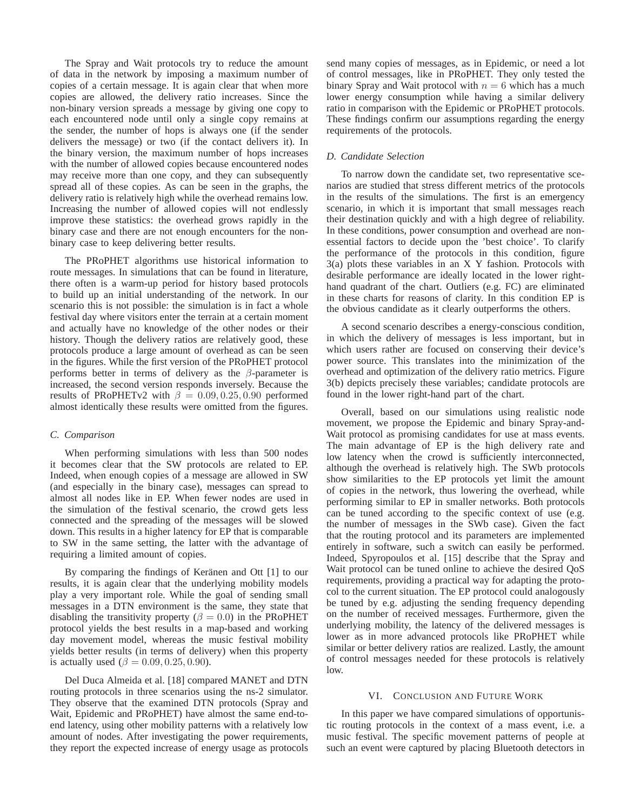The Spray and Wait protocols try to reduce the amount of data in the network by imposing a maximum number of copies of a certain message. It is again clear that when more copies are allowed, the delivery ratio increases. Since the non-binary version spreads a message by giving one copy to each encountered node until only a single copy remains at the sender, the number of hops is always one (if the sender delivers the message) or two (if the contact delivers it). In the binary version, the maximum number of hops increases with the number of allowed copies because encountered nodes may receive more than one copy, and they can subsequently spread all of these copies. As can be seen in the graphs, the delivery ratio is relatively high while the overhead remains low. Increasing the number of allowed copies will not endlessly improve these statistics: the overhead grows rapidly in the binary case and there are not enough encounters for the nonbinary case to keep delivering better results.

The PRoPHET algorithms use historical information to route messages. In simulations that can be found in literature, there often is a warm-up period for history based protocols to build up an initial understanding of the network. In our scenario this is not possible: the simulation is in fact a whole festival day where visitors enter the terrain at a certain moment and actually have no knowledge of the other nodes or their history. Though the delivery ratios are relatively good, these protocols produce a large amount of overhead as can be seen in the figures. While the first version of the PRoPHET protocol performs better in terms of delivery as the  $\beta$ -parameter is increased, the second version responds inversely. Because the results of PRoPHETv2 with  $\beta = 0.09, 0.25, 0.90$  performed almost identically these results were omitted from the figures.

#### *C. Comparison*

When performing simulations with less than 500 nodes it becomes clear that the SW protocols are related to EP. Indeed, when enough copies of a message are allowed in SW (and especially in the binary case), messages can spread to almost all nodes like in EP. When fewer nodes are used in the simulation of the festival scenario, the crowd gets less connected and the spreading of the messages will be slowed down. This results in a higher latency for EP that is comparable to SW in the same setting, the latter with the advantage of requiring a limited amount of copies.

By comparing the findings of Keränen and Ott [1] to our results, it is again clear that the underlying mobility models play a very important role. While the goal of sending small messages in a DTN environment is the same, they state that disabling the transitivity property ( $\beta = 0.0$ ) in the PRoPHET protocol yields the best results in a map-based and working day movement model, whereas the music festival mobility yields better results (in terms of delivery) when this property is actually used ( $\beta = 0.09, 0.25, 0.90$ ).

Del Duca Almeida et al. [18] compared MANET and DTN routing protocols in three scenarios using the ns-2 simulator. They observe that the examined DTN protocols (Spray and Wait, Epidemic and PRoPHET) have almost the same end-toend latency, using other mobility patterns with a relatively low amount of nodes. After investigating the power requirements, they report the expected increase of energy usage as protocols send many copies of messages, as in Epidemic, or need a lot of control messages, like in PRoPHET. They only tested the binary Spray and Wait protocol with  $n = 6$  which has a much lower energy consumption while having a similar delivery ratio in comparison with the Epidemic or PRoPHET protocols. These findings confirm our assumptions regarding the energy requirements of the protocols.

#### *D. Candidate Selection*

To narrow down the candidate set, two representative scenarios are studied that stress different metrics of the protocols in the results of the simulations. The first is an emergency scenario, in which it is important that small messages reach their destination quickly and with a high degree of reliability. In these conditions, power consumption and overhead are nonessential factors to decide upon the 'best choice'. To clarify the performance of the protocols in this condition, figure 3(a) plots these variables in an X Y fashion. Protocols with desirable performance are ideally located in the lower righthand quadrant of the chart. Outliers (e.g. FC) are eliminated in these charts for reasons of clarity. In this condition EP is the obvious candidate as it clearly outperforms the others.

A second scenario describes a energy-conscious condition, in which the delivery of messages is less important, but in which users rather are focused on conserving their device's power source. This translates into the minimization of the overhead and optimization of the delivery ratio metrics. Figure 3(b) depicts precisely these variables; candidate protocols are found in the lower right-hand part of the chart.

Overall, based on our simulations using realistic node movement, we propose the Epidemic and binary Spray-and-Wait protocol as promising candidates for use at mass events. The main advantage of EP is the high delivery rate and low latency when the crowd is sufficiently interconnected, although the overhead is relatively high. The SWb protocols show similarities to the EP protocols yet limit the amount of copies in the network, thus lowering the overhead, while performing similar to EP in smaller networks. Both protocols can be tuned according to the specific context of use (e.g. the number of messages in the SWb case). Given the fact that the routing protocol and its parameters are implemented entirely in software, such a switch can easily be performed. Indeed, Spyropoulos et al. [15] describe that the Spray and Wait protocol can be tuned online to achieve the desired QoS requirements, providing a practical way for adapting the protocol to the current situation. The EP protocol could analogously be tuned by e.g. adjusting the sending frequency depending on the number of received messages. Furthermore, given the underlying mobility, the latency of the delivered messages is lower as in more advanced protocols like PRoPHET while similar or better delivery ratios are realized. Lastly, the amount of control messages needed for these protocols is relatively low.

#### VI. CONCLUSION AND FUTURE WORK

In this paper we have compared simulations of opportunistic routing protocols in the context of a mass event, i.e. a music festival. The specific movement patterns of people at such an event were captured by placing Bluetooth detectors in